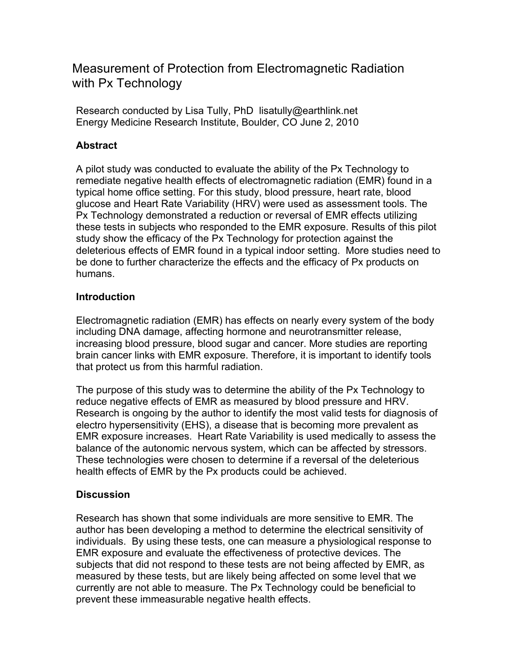Measurement of Protection from Electromagnetic Radiation with Px Technology

Research conducted by Lisa Tully, PhD lisatully@earthlink.net Energy Medicine Research Institute, Boulder, CO June 2, 2010

### **Abstract**

A pilot study was conducted to evaluate the ability of the Px Technology to remediate negative health effects of electromagnetic radiation (EMR) found in a typical home office setting. For this study, blood pressure, heart rate, blood glucose and Heart Rate Variability (HRV) were used as assessment tools. The Px Technology demonstrated a reduction or reversal of EMR effects utilizing these tests in subjects who responded to the EMR exposure. Results of this pilot study show the efficacy of the Px Technology for protection against the deleterious effects of EMR found in a typical indoor setting. More studies need to be done to further characterize the effects and the efficacy of Px products on humans.

#### **Introduction**

Electromagnetic radiation (EMR) has effects on nearly every system of the body including DNA damage, affecting hormone and neurotransmitter release, increasing blood pressure, blood sugar and cancer. More studies are reporting brain cancer links with EMR exposure. Therefore, it is important to identify tools that protect us from this harmful radiation.

The purpose of this study was to determine the ability of the Px Technology to reduce negative effects of EMR as measured by blood pressure and HRV. Research is ongoing by the author to identify the most valid tests for diagnosis of electro hypersensitivity (EHS), a disease that is becoming more prevalent as EMR exposure increases. Heart Rate Variability is used medically to assess the balance of the autonomic nervous system, which can be affected by stressors. These technologies were chosen to determine if a reversal of the deleterious health effects of EMR by the Px products could be achieved.

#### **Discussion**

Research has shown that some individuals are more sensitive to EMR. The author has been developing a method to determine the electrical sensitivity of individuals. By using these tests, one can measure a physiological response to EMR exposure and evaluate the effectiveness of protective devices. The subjects that did not respond to these tests are not being affected by EMR, as measured by these tests, but are likely being affected on some level that we currently are not able to measure. The Px Technology could be beneficial to prevent these immeasurable negative health effects.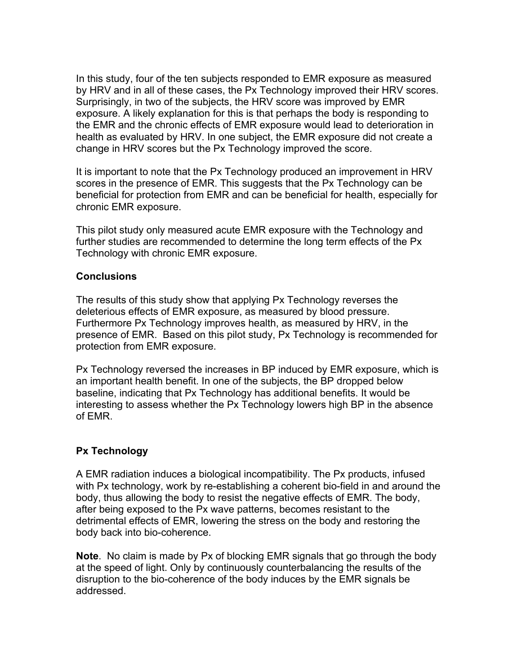In this study, four of the ten subjects responded to EMR exposure as measured by HRV and in all of these cases, the Px Technology improved their HRV scores. Surprisingly, in two of the subjects, the HRV score was improved by EMR exposure. A likely explanation for this is that perhaps the body is responding to the EMR and the chronic effects of EMR exposure would lead to deterioration in health as evaluated by HRV. In one subject, the EMR exposure did not create a change in HRV scores but the Px Technology improved the score.

It is important to note that the Px Technology produced an improvement in HRV scores in the presence of EMR. This suggests that the Px Technology can be beneficial for protection from EMR and can be beneficial for health, especially for chronic EMR exposure.

This pilot study only measured acute EMR exposure with the Technology and further studies are recommended to determine the long term effects of the Px Technology with chronic EMR exposure.

#### **Conclusions**

The results of this study show that applying Px Technology reverses the deleterious effects of EMR exposure, as measured by blood pressure. Furthermore Px Technology improves health, as measured by HRV, in the presence of EMR. Based on this pilot study, Px Technology is recommended for protection from EMR exposure.

Px Technology reversed the increases in BP induced by EMR exposure, which is an important health benefit. In one of the subjects, the BP dropped below baseline, indicating that Px Technology has additional benefits. It would be interesting to assess whether the Px Technology lowers high BP in the absence of EMR.

#### **Px Technology**

A EMR radiation induces a biological incompatibility. The Px products, infused with Px technology, work by re-establishing a coherent bio-field in and around the body, thus allowing the body to resist the negative effects of EMR. The body, after being exposed to the Px wave patterns, becomes resistant to the detrimental effects of EMR, lowering the stress on the body and restoring the body back into bio-coherence.

**Note**. No claim is made by Px of blocking EMR signals that go through the body at the speed of light. Only by continuously counterbalancing the results of the disruption to the bio-coherence of the body induces by the EMR signals be addressed.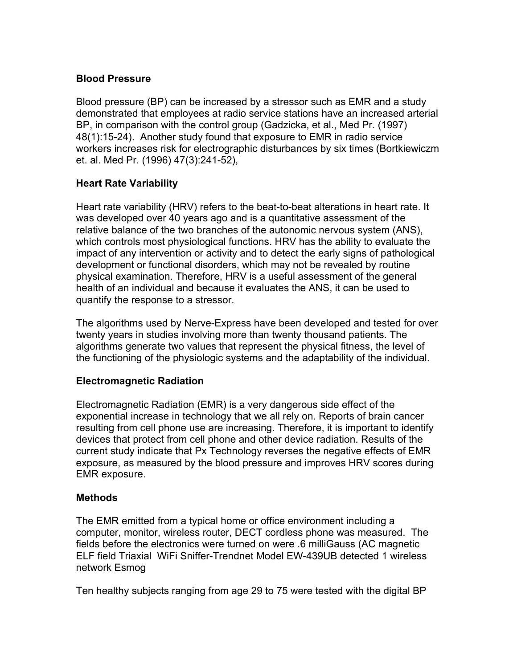## **Blood Pressure**

Blood pressure (BP) can be increased by a stressor such as EMR and a study demonstrated that employees at radio service stations have an increased arterial BP, in comparison with the control group (Gadzicka, et al., Med Pr. (1997) 48(1):15-24). Another study found that exposure to EMR in radio service workers increases risk for electrographic disturbances by six times (Bortkiewiczm et. al. Med Pr. (1996) 47(3):241-52),

# **Heart Rate Variability**

Heart rate variability (HRV) refers to the beat-to-beat alterations in heart rate. It was developed over 40 years ago and is a quantitative assessment of the relative balance of the two branches of the autonomic nervous system (ANS), which controls most physiological functions. HRV has the ability to evaluate the impact of any intervention or activity and to detect the early signs of pathological development or functional disorders, which may not be revealed by routine physical examination. Therefore, HRV is a useful assessment of the general health of an individual and because it evaluates the ANS, it can be used to quantify the response to a stressor.

The algorithms used by Nerve-Express have been developed and tested for over twenty years in studies involving more than twenty thousand patients. The algorithms generate two values that represent the physical fitness, the level of the functioning of the physiologic systems and the adaptability of the individual.

## **Electromagnetic Radiation**

Electromagnetic Radiation (EMR) is a very dangerous side effect of the exponential increase in technology that we all rely on. Reports of brain cancer resulting from cell phone use are increasing. Therefore, it is important to identify devices that protect from cell phone and other device radiation. Results of the current study indicate that Px Technology reverses the negative effects of EMR exposure, as measured by the blood pressure and improves HRV scores during EMR exposure.

# **Methods**

The EMR emitted from a typical home or office environment including a computer, monitor, wireless router, DECT cordless phone was measured. The fields before the electronics were turned on were .6 milliGauss (AC magnetic ELF field Triaxial WiFi Sniffer-Trendnet Model EW-439UB detected 1 wireless network Esmog

Ten healthy subjects ranging from age 29 to 75 were tested with the digital BP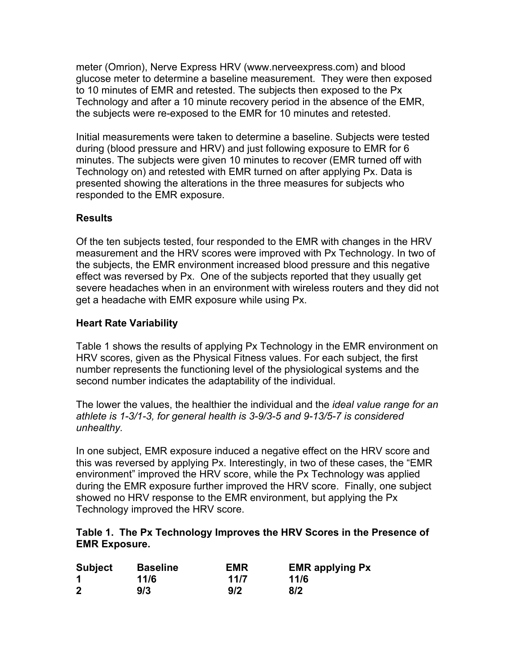meter (Omrion), Nerve Express HRV (www.nerveexpress.com) and blood glucose meter to determine a baseline measurement. They were then exposed to 10 minutes of EMR and retested. The subjects then exposed to the Px Technology and after a 10 minute recovery period in the absence of the EMR, the subjects were re-exposed to the EMR for 10 minutes and retested.

Initial measurements were taken to determine a baseline. Subjects were tested during (blood pressure and HRV) and just following exposure to EMR for 6 minutes. The subjects were given 10 minutes to recover (EMR turned off with Technology on) and retested with EMR turned on after applying Px. Data is presented showing the alterations in the three measures for subjects who responded to the EMR exposure.

# **Results**

Of the ten subjects tested, four responded to the EMR with changes in the HRV measurement and the HRV scores were improved with Px Technology. In two of the subjects, the EMR environment increased blood pressure and this negative effect was reversed by Px. One of the subjects reported that they usually get severe headaches when in an environment with wireless routers and they did not get a headache with EMR exposure while using Px.

## **Heart Rate Variability**

Table 1 shows the results of applying Px Technology in the EMR environment on HRV scores, given as the Physical Fitness values. For each subject, the first number represents the functioning level of the physiological systems and the second number indicates the adaptability of the individual.

The lower the values, the healthier the individual and the *ideal value range for an athlete is 1-3/1-3, for general health is 3-9/3-5 and 9-13/5-7 is considered unhealthy.*

In one subject, EMR exposure induced a negative effect on the HRV score and this was reversed by applying Px. Interestingly, in two of these cases, the "EMR environment" improved the HRV score, while the Px Technology was applied during the EMR exposure further improved the HRV score. Finally, one subject showed no HRV response to the EMR environment, but applying the Px Technology improved the HRV score.

### **Table 1. The Px Technology Improves the HRV Scores in the Presence of EMR Exposure.**

| <b>Subject</b> | <b>Baseline</b> | EMR  | <b>EMR applying Px</b> |
|----------------|-----------------|------|------------------------|
|                | 11/6            | 11/7 | 11/6                   |
| $\mathbf{2}$   | 9/3             | 9/2  | 8/2                    |